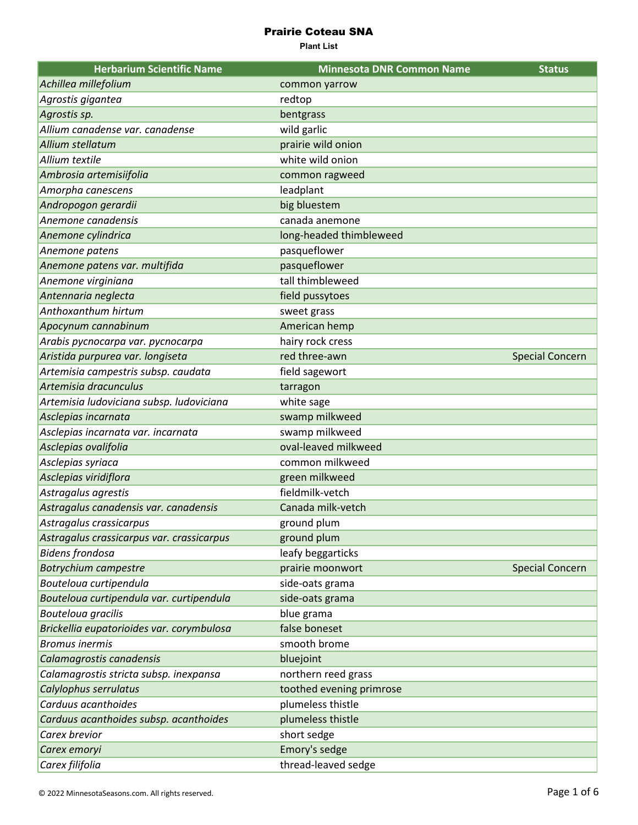| <b>Herbarium Scientific Name</b>          | <b>Minnesota DNR Common Name</b> | <b>Status</b>          |
|-------------------------------------------|----------------------------------|------------------------|
| Achillea millefolium                      | common yarrow                    |                        |
| Agrostis gigantea                         | redtop                           |                        |
| Agrostis sp.                              | bentgrass                        |                        |
| Allium canadense var. canadense           | wild garlic                      |                        |
| Allium stellatum                          | prairie wild onion               |                        |
| Allium textile                            | white wild onion                 |                        |
| Ambrosia artemisiifolia                   | common ragweed                   |                        |
| Amorpha canescens                         | leadplant                        |                        |
| Andropogon gerardii                       | big bluestem                     |                        |
| Anemone canadensis                        | canada anemone                   |                        |
| Anemone cylindrica                        | long-headed thimbleweed          |                        |
| Anemone patens                            | pasqueflower                     |                        |
| Anemone patens var. multifida             | pasqueflower                     |                        |
| Anemone virginiana                        | tall thimbleweed                 |                        |
| Antennaria neglecta                       | field pussytoes                  |                        |
| Anthoxanthum hirtum                       | sweet grass                      |                        |
| Apocynum cannabinum                       | American hemp                    |                        |
| Arabis pycnocarpa var. pycnocarpa         | hairy rock cress                 |                        |
| Aristida purpurea var. longiseta          | red three-awn                    | <b>Special Concern</b> |
| Artemisia campestris subsp. caudata       | field sagewort                   |                        |
| Artemisia dracunculus                     | tarragon                         |                        |
| Artemisia ludoviciana subsp. ludoviciana  | white sage                       |                        |
| Asclepias incarnata                       | swamp milkweed                   |                        |
| Asclepias incarnata var. incarnata        | swamp milkweed                   |                        |
| Asclepias ovalifolia                      | oval-leaved milkweed             |                        |
| Asclepias syriaca                         | common milkweed                  |                        |
| Asclepias viridiflora                     | green milkweed                   |                        |
| Astragalus agrestis                       | fieldmilk-vetch                  |                        |
| Astragalus canadensis var. canadensis     | Canada milk-vetch                |                        |
| Astragalus crassicarpus                   | ground plum                      |                        |
| Astragalus crassicarpus var. crassicarpus | ground plum                      |                        |
| <b>Bidens frondosa</b>                    | leafy beggarticks                |                        |
| <b>Botrychium campestre</b>               | prairie moonwort                 | <b>Special Concern</b> |
| Bouteloua curtipendula                    | side-oats grama                  |                        |
| Bouteloua curtipendula var. curtipendula  | side-oats grama                  |                        |
| Bouteloua gracilis                        | blue grama                       |                        |
| Brickellia eupatorioides var. corymbulosa | false boneset                    |                        |
| <b>Bromus inermis</b>                     | smooth brome                     |                        |
| Calamagrostis canadensis                  | bluejoint                        |                        |
| Calamagrostis stricta subsp. inexpansa    | northern reed grass              |                        |
| Calylophus serrulatus                     | toothed evening primrose         |                        |
| Carduus acanthoides                       | plumeless thistle                |                        |
| Carduus acanthoides subsp. acanthoides    | plumeless thistle                |                        |
| Carex brevior                             | short sedge                      |                        |
| Carex emoryi                              | Emory's sedge                    |                        |
| Carex filifolia                           | thread-leaved sedge              |                        |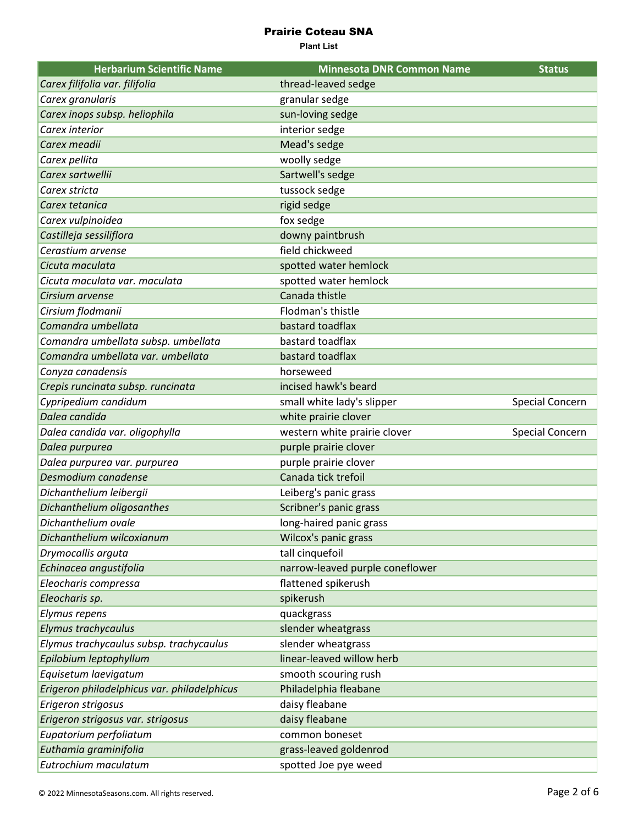| <b>Herbarium Scientific Name</b>            | <b>Minnesota DNR Common Name</b> | <b>Status</b>          |
|---------------------------------------------|----------------------------------|------------------------|
| Carex filifolia var. filifolia              | thread-leaved sedge              |                        |
| Carex granularis                            | granular sedge                   |                        |
| Carex inops subsp. heliophila               | sun-loving sedge                 |                        |
| Carex interior                              | interior sedge                   |                        |
| Carex meadii                                | Mead's sedge                     |                        |
| Carex pellita                               | woolly sedge                     |                        |
| Carex sartwellii                            | Sartwell's sedge                 |                        |
| Carex stricta                               | tussock sedge                    |                        |
| Carex tetanica                              | rigid sedge                      |                        |
| Carex vulpinoidea                           | fox sedge                        |                        |
| Castilleja sessiliflora                     | downy paintbrush                 |                        |
| Cerastium arvense                           | field chickweed                  |                        |
| Cicuta maculata                             | spotted water hemlock            |                        |
| Cicuta maculata var. maculata               | spotted water hemlock            |                        |
| Cirsium arvense                             | Canada thistle                   |                        |
| Cirsium flodmanii                           | Flodman's thistle                |                        |
| Comandra umbellata                          | bastard toadflax                 |                        |
| Comandra umbellata subsp. umbellata         | bastard toadflax                 |                        |
| Comandra umbellata var. umbellata           | bastard toadflax                 |                        |
| Conyza canadensis                           | horseweed                        |                        |
| Crepis runcinata subsp. runcinata           | incised hawk's beard             |                        |
| Cypripedium candidum                        | small white lady's slipper       | <b>Special Concern</b> |
| Dalea candida                               | white prairie clover             |                        |
| Dalea candida var. oligophylla              | western white prairie clover     | <b>Special Concern</b> |
| Dalea purpurea                              | purple prairie clover            |                        |
| Dalea purpurea var. purpurea                | purple prairie clover            |                        |
| Desmodium canadense                         | Canada tick trefoil              |                        |
| Dichanthelium leibergii                     | Leiberg's panic grass            |                        |
| Dichanthelium oligosanthes                  | Scribner's panic grass           |                        |
| Dichanthelium ovale                         | long-haired panic grass          |                        |
| Dichanthelium wilcoxianum                   | Wilcox's panic grass             |                        |
| Drymocallis arguta                          | tall cinquefoil                  |                        |
| Echinacea angustifolia                      | narrow-leaved purple coneflower  |                        |
| Eleocharis compressa                        | flattened spikerush              |                        |
| Eleocharis sp.                              | spikerush                        |                        |
| Elymus repens                               | quackgrass                       |                        |
| Elymus trachycaulus                         | slender wheatgrass               |                        |
| Elymus trachycaulus subsp. trachycaulus     | slender wheatgrass               |                        |
| Epilobium leptophyllum                      | linear-leaved willow herb        |                        |
| Equisetum laevigatum                        | smooth scouring rush             |                        |
| Erigeron philadelphicus var. philadelphicus | Philadelphia fleabane            |                        |
| Erigeron strigosus                          | daisy fleabane                   |                        |
| Erigeron strigosus var. strigosus           | daisy fleabane                   |                        |
| Eupatorium perfoliatum                      | common boneset                   |                        |
| Euthamia graminifolia                       | grass-leaved goldenrod           |                        |
| Eutrochium maculatum                        | spotted Joe pye weed             |                        |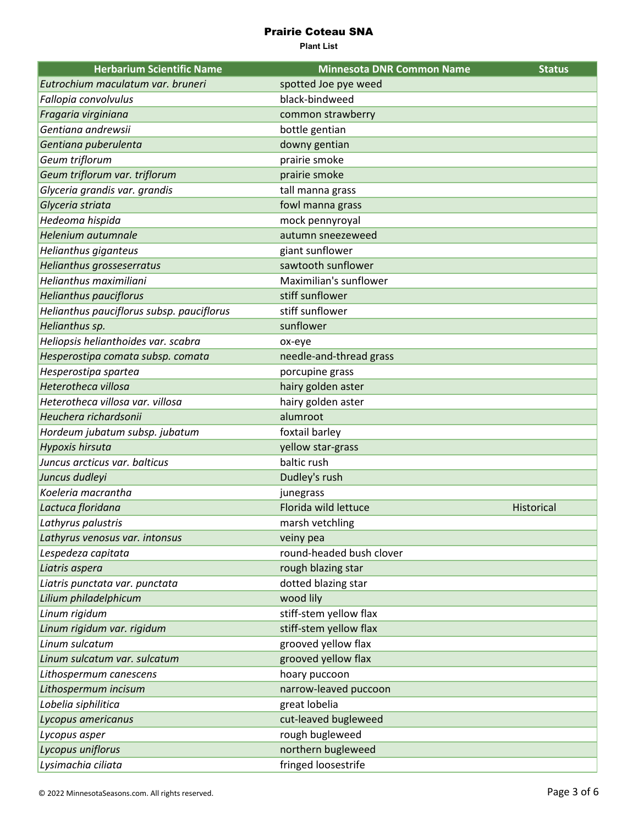| <b>Herbarium Scientific Name</b>          | <b>Minnesota DNR Common Name</b> | <b>Status</b> |
|-------------------------------------------|----------------------------------|---------------|
| Eutrochium maculatum var. bruneri         | spotted Joe pye weed             |               |
| Fallopia convolvulus                      | black-bindweed                   |               |
| Fragaria virginiana                       | common strawberry                |               |
| Gentiana andrewsii                        | bottle gentian                   |               |
| Gentiana puberulenta                      | downy gentian                    |               |
| Geum triflorum                            | prairie smoke                    |               |
| Geum triflorum var. triflorum             | prairie smoke                    |               |
| Glyceria grandis var. grandis             | tall manna grass                 |               |
| Glyceria striata                          | fowl manna grass                 |               |
| Hedeoma hispida                           | mock pennyroyal                  |               |
| Helenium autumnale                        | autumn sneezeweed                |               |
| Helianthus giganteus                      | giant sunflower                  |               |
| Helianthus grosseserratus                 | sawtooth sunflower               |               |
| Helianthus maximiliani                    | Maximilian's sunflower           |               |
| <b>Helianthus pauciflorus</b>             | stiff sunflower                  |               |
| Helianthus pauciflorus subsp. pauciflorus | stiff sunflower                  |               |
| Helianthus sp.                            | sunflower                        |               |
| Heliopsis helianthoides var. scabra       | ox-eye                           |               |
| Hesperostipa comata subsp. comata         | needle-and-thread grass          |               |
| Hesperostipa spartea                      | porcupine grass                  |               |
| Heterotheca villosa                       | hairy golden aster               |               |
| Heterotheca villosa var. villosa          | hairy golden aster               |               |
| Heuchera richardsonii                     | alumroot                         |               |
| Hordeum jubatum subsp. jubatum            | foxtail barley                   |               |
| Hypoxis hirsuta                           | yellow star-grass                |               |
| Juncus arcticus var. balticus             | baltic rush                      |               |
| Juncus dudleyi                            | Dudley's rush                    |               |
| Koeleria macrantha                        | junegrass                        |               |
| Lactuca floridana                         | Florida wild lettuce             | Historical    |
| Lathyrus palustris                        | marsh vetchling                  |               |
| Lathyrus venosus var. intonsus            | veiny pea                        |               |
| Lespedeza capitata                        | round-headed bush clover         |               |
| Liatris aspera                            | rough blazing star               |               |
| Liatris punctata var. punctata            | dotted blazing star              |               |
| Lilium philadelphicum                     | wood lily                        |               |
| Linum rigidum                             | stiff-stem yellow flax           |               |
| Linum rigidum var. rigidum                | stiff-stem yellow flax           |               |
| Linum sulcatum                            | grooved yellow flax              |               |
| Linum sulcatum var. sulcatum              | grooved yellow flax              |               |
| Lithospermum canescens                    | hoary puccoon                    |               |
| Lithospermum incisum                      | narrow-leaved puccoon            |               |
| Lobelia siphilitica                       | great lobelia                    |               |
| Lycopus americanus                        | cut-leaved bugleweed             |               |
| Lycopus asper                             | rough bugleweed                  |               |
| Lycopus uniflorus                         | northern bugleweed               |               |
| Lysimachia ciliata                        | fringed loosestrife              |               |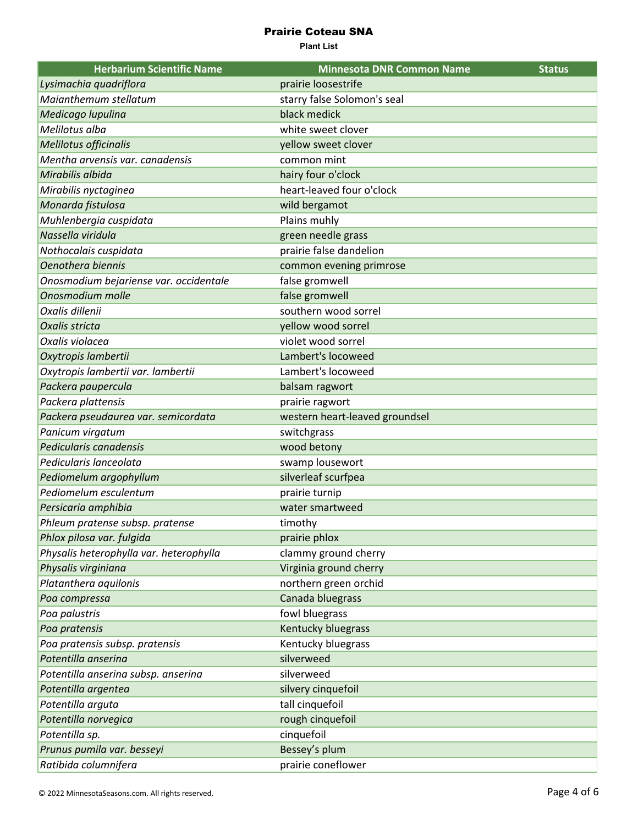| <b>Herbarium Scientific Name</b>        | <b>Minnesota DNR Common Name</b> | <b>Status</b> |
|-----------------------------------------|----------------------------------|---------------|
| Lysimachia quadriflora                  | prairie loosestrife              |               |
| Maianthemum stellatum                   | starry false Solomon's seal      |               |
| Medicago lupulina                       | black medick                     |               |
| Melilotus alba                          | white sweet clover               |               |
| Melilotus officinalis                   | yellow sweet clover              |               |
| Mentha arvensis var. canadensis         | common mint                      |               |
| Mirabilis albida                        | hairy four o'clock               |               |
| Mirabilis nyctaginea                    | heart-leaved four o'clock        |               |
| Monarda fistulosa                       | wild bergamot                    |               |
| Muhlenbergia cuspidata                  | Plains muhly                     |               |
| Nassella viridula                       | green needle grass               |               |
| Nothocalais cuspidata                   | prairie false dandelion          |               |
| Oenothera biennis                       | common evening primrose          |               |
| Onosmodium bejariense var. occidentale  | false gromwell                   |               |
| Onosmodium molle                        | false gromwell                   |               |
| Oxalis dillenii                         | southern wood sorrel             |               |
| Oxalis stricta                          | yellow wood sorrel               |               |
| Oxalis violacea                         | violet wood sorrel               |               |
| Oxytropis lambertii                     | Lambert's locoweed               |               |
| Oxytropis lambertii var. lambertii      | Lambert's locoweed               |               |
| Packera paupercula                      | balsam ragwort                   |               |
| Packera plattensis                      | prairie ragwort                  |               |
| Packera pseudaurea var. semicordata     | western heart-leaved groundsel   |               |
| Panicum virgatum                        | switchgrass                      |               |
| Pedicularis canadensis                  | wood betony                      |               |
| Pedicularis lanceolata                  | swamp lousewort                  |               |
| Pediomelum argophyllum                  | silverleaf scurfpea              |               |
| Pediomelum esculentum                   | prairie turnip                   |               |
| Persicaria amphibia                     | water smartweed                  |               |
| Phleum pratense subsp. pratense         | timothy                          |               |
| Phlox pilosa var. fulgida               | prairie phlox                    |               |
| Physalis heterophylla var. heterophylla | clammy ground cherry             |               |
| Physalis virginiana                     | Virginia ground cherry           |               |
| Platanthera aquilonis                   | northern green orchid            |               |
| Poa compressa                           | Canada bluegrass                 |               |
| Poa palustris                           | fowl bluegrass                   |               |
| Poa pratensis                           | Kentucky bluegrass               |               |
| Poa pratensis subsp. pratensis          | Kentucky bluegrass               |               |
| Potentilla anserina                     | silverweed                       |               |
| Potentilla anserina subsp. anserina     | silverweed                       |               |
| Potentilla argentea                     | silvery cinquefoil               |               |
| Potentilla arguta                       | tall cinquefoil                  |               |
| Potentilla norvegica                    | rough cinquefoil                 |               |
| Potentilla sp.                          | cinquefoil                       |               |
| Prunus pumila var. besseyi              | Bessey's plum                    |               |
| Ratibida columnifera                    | prairie coneflower               |               |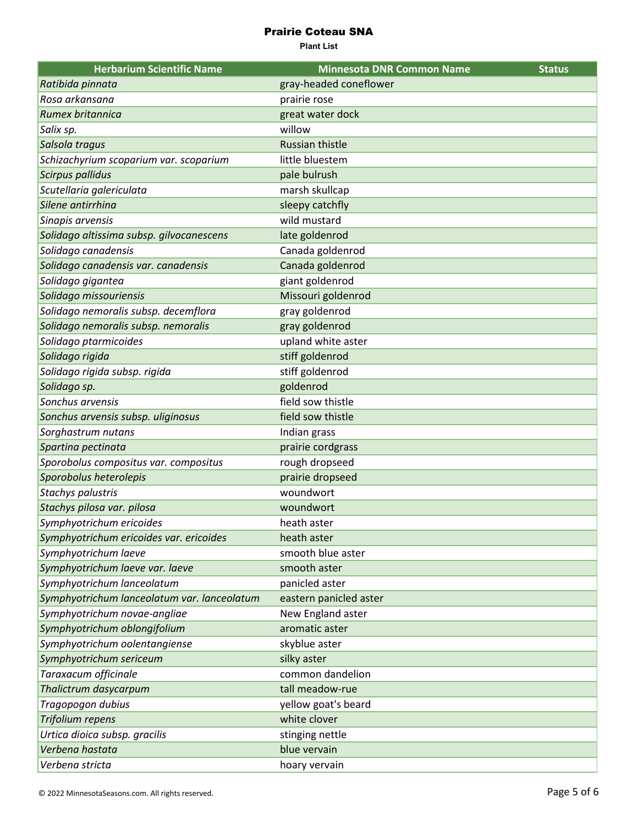| <b>Herbarium Scientific Name</b>            | <b>Minnesota DNR Common Name</b> | <b>Status</b> |
|---------------------------------------------|----------------------------------|---------------|
| Ratibida pinnata                            | gray-headed coneflower           |               |
| Rosa arkansana                              | prairie rose                     |               |
| Rumex britannica                            | great water dock                 |               |
| Salix sp.                                   | willow                           |               |
| Salsola tragus                              | <b>Russian thistle</b>           |               |
| Schizachyrium scoparium var. scoparium      | little bluestem                  |               |
| <b>Scirpus pallidus</b>                     | pale bulrush                     |               |
| Scutellaria galericulata                    | marsh skullcap                   |               |
| Silene antirrhina                           | sleepy catchfly                  |               |
| Sinapis arvensis                            | wild mustard                     |               |
| Solidago altissima subsp. gilvocanescens    | late goldenrod                   |               |
| Solidago canadensis                         | Canada goldenrod                 |               |
| Solidago canadensis var. canadensis         | Canada goldenrod                 |               |
| Solidago gigantea                           | giant goldenrod                  |               |
| Solidago missouriensis                      | Missouri goldenrod               |               |
| Solidago nemoralis subsp. decemflora        | gray goldenrod                   |               |
| Solidago nemoralis subsp. nemoralis         | gray goldenrod                   |               |
| Solidago ptarmicoides                       | upland white aster               |               |
| Solidago rigida                             | stiff goldenrod                  |               |
| Solidago rigida subsp. rigida               | stiff goldenrod                  |               |
| Solidago sp.                                | goldenrod                        |               |
| Sonchus arvensis                            | field sow thistle                |               |
| Sonchus arvensis subsp. uliginosus          | field sow thistle                |               |
| Sorghastrum nutans                          | Indian grass                     |               |
| Spartina pectinata                          | prairie cordgrass                |               |
| Sporobolus compositus var. compositus       | rough dropseed                   |               |
| Sporobolus heterolepis                      | prairie dropseed                 |               |
| <b>Stachys palustris</b>                    | woundwort                        |               |
| Stachys pilosa var. pilosa                  | woundwort                        |               |
| Symphyotrichum ericoides                    | heath aster                      |               |
| Symphyotrichum ericoides var. ericoides     | heath aster                      |               |
| Symphyotrichum laeve                        | smooth blue aster                |               |
| Symphyotrichum laeve var. laeve             | smooth aster                     |               |
| Symphyotrichum lanceolatum                  | panicled aster                   |               |
| Symphyotrichum lanceolatum var. lanceolatum | eastern panicled aster           |               |
| Symphyotrichum novae-angliae                | New England aster                |               |
| Symphyotrichum oblongifolium                | aromatic aster                   |               |
| Symphyotrichum oolentangiense               | skyblue aster                    |               |
| Symphyotrichum sericeum                     | silky aster                      |               |
| Taraxacum officinale                        | common dandelion                 |               |
| Thalictrum dasycarpum                       | tall meadow-rue                  |               |
| Tragopogon dubius                           | yellow goat's beard              |               |
| Trifolium repens                            | white clover                     |               |
| Urtica dioica subsp. gracilis               | stinging nettle                  |               |
| Verbena hastata                             | blue vervain                     |               |
| Verbena stricta                             | hoary vervain                    |               |